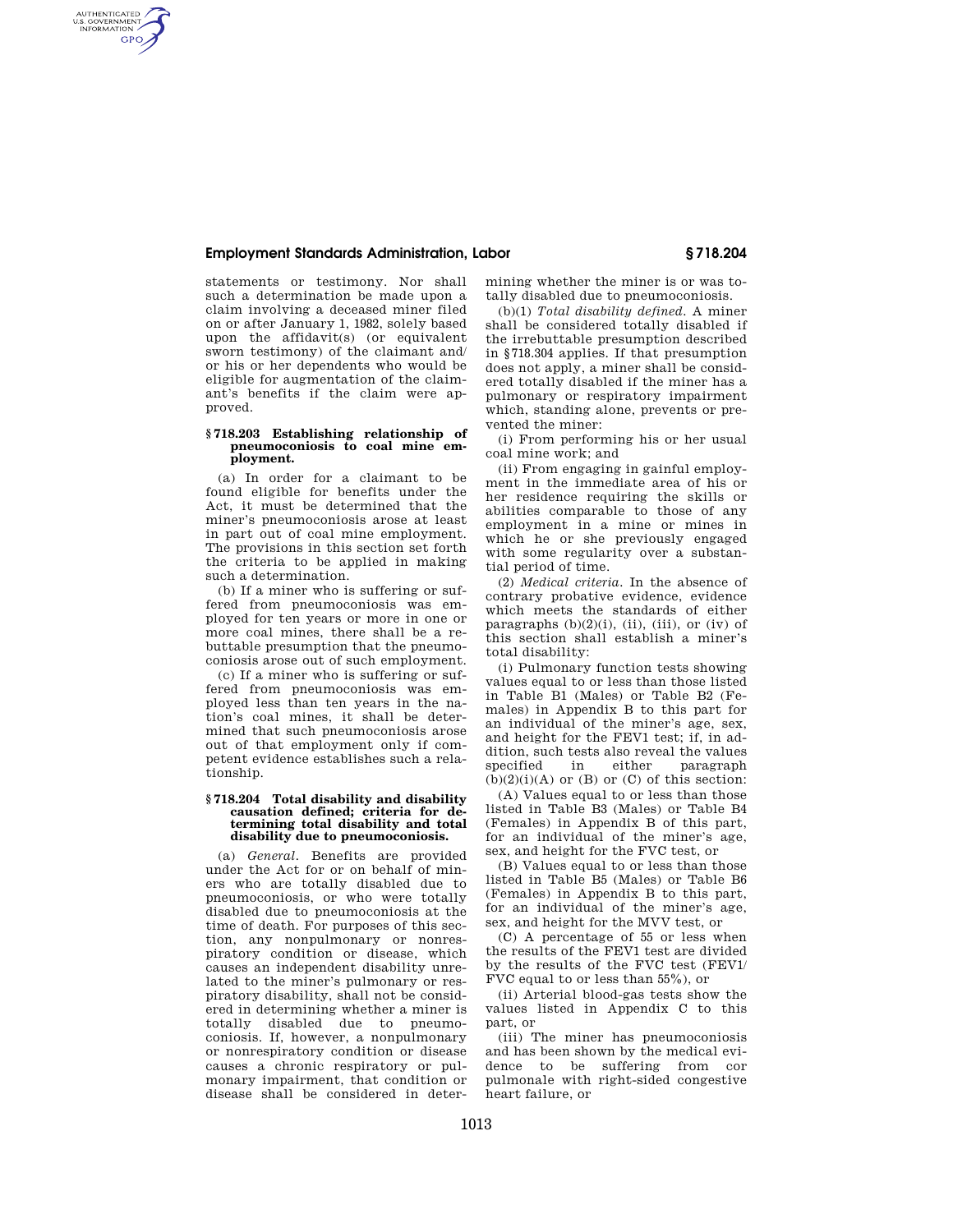# **Employment Standards Administration, Labor § 718.204**

AUTHENTICATED<br>U.S. GOVERNMENT<br>INFORMATION **GPO** 

statements or testimony. Nor shall such a determination be made upon a claim involving a deceased miner filed on or after January 1, 1982, solely based upon the affidavit(s) (or equivalent sworn testimony) of the claimant and/ or his or her dependents who would be eligible for augmentation of the claimant's benefits if the claim were approved.

### **§ 718.203 Establishing relationship of pneumoconiosis to coal mine employment.**

(a) In order for a claimant to be found eligible for benefits under the Act, it must be determined that the miner's pneumoconiosis arose at least in part out of coal mine employment. The provisions in this section set forth the criteria to be applied in making such a determination.

(b) If a miner who is suffering or suffered from pneumoconiosis was employed for ten years or more in one or more coal mines, there shall be a rebuttable presumption that the pneumoconiosis arose out of such employment.

(c) If a miner who is suffering or suffered from pneumoconiosis was employed less than ten years in the nation's coal mines, it shall be determined that such pneumoconiosis arose out of that employment only if competent evidence establishes such a relationship.

#### **§ 718.204 Total disability and disability causation defined; criteria for determining total disability and total disability due to pneumoconiosis.**

(a) *General.* Benefits are provided under the Act for or on behalf of miners who are totally disabled due to pneumoconiosis, or who were totally disabled due to pneumoconiosis at the time of death. For purposes of this section, any nonpulmonary or nonrespiratory condition or disease, which causes an independent disability unrelated to the miner's pulmonary or respiratory disability, shall not be considered in determining whether a miner is totally disabled due to pneumoconiosis. If, however, a nonpulmonary or nonrespiratory condition or disease causes a chronic respiratory or pulmonary impairment, that condition or disease shall be considered in determining whether the miner is or was totally disabled due to pneumoconiosis.

(b)(1) *Total disability defined.* A miner shall be considered totally disabled if the irrebuttable presumption described in §718.304 applies. If that presumption does not apply, a miner shall be considered totally disabled if the miner has a pulmonary or respiratory impairment which, standing alone, prevents or prevented the miner:

(i) From performing his or her usual coal mine work; and

(ii) From engaging in gainful employment in the immediate area of his or her residence requiring the skills or abilities comparable to those of any employment in a mine or mines in which he or she previously engaged with some regularity over a substantial period of time.

(2) *Medical criteria.* In the absence of contrary probative evidence, evidence which meets the standards of either paragraphs  $(b)(2)(i)$ ,  $(ii)$ ,  $(iii)$ , or  $(iv)$  of this section shall establish a miner's total disability:

(i) Pulmonary function tests showing values equal to or less than those listed in Table B1 (Males) or Table B2 (Females) in Appendix B to this part for an individual of the miner's age, sex, and height for the FEV1 test; if, in addition, such tests also reveal the values specified in either paragraph  $(b)(2)(i)(A)$  or  $(B)$  or  $(C)$  of this section:

(A) Values equal to or less than those listed in Table B3 (Males) or Table B4 (Females) in Appendix B of this part, for an individual of the miner's age, sex, and height for the FVC test, or

(B) Values equal to or less than those listed in Table B5 (Males) or Table B6 (Females) in Appendix B to this part, for an individual of the miner's age, sex, and height for the MVV test, or

(C) A percentage of 55 or less when the results of the FEV1 test are divided by the results of the FVC test (FEV1/ FVC equal to or less than 55%), or

(ii) Arterial blood-gas tests show the values listed in Appendix C to this part, or

(iii) The miner has pneumoconiosis and has been shown by the medical evidence to be suffering from cor pulmonale with right-sided congestive heart failure, or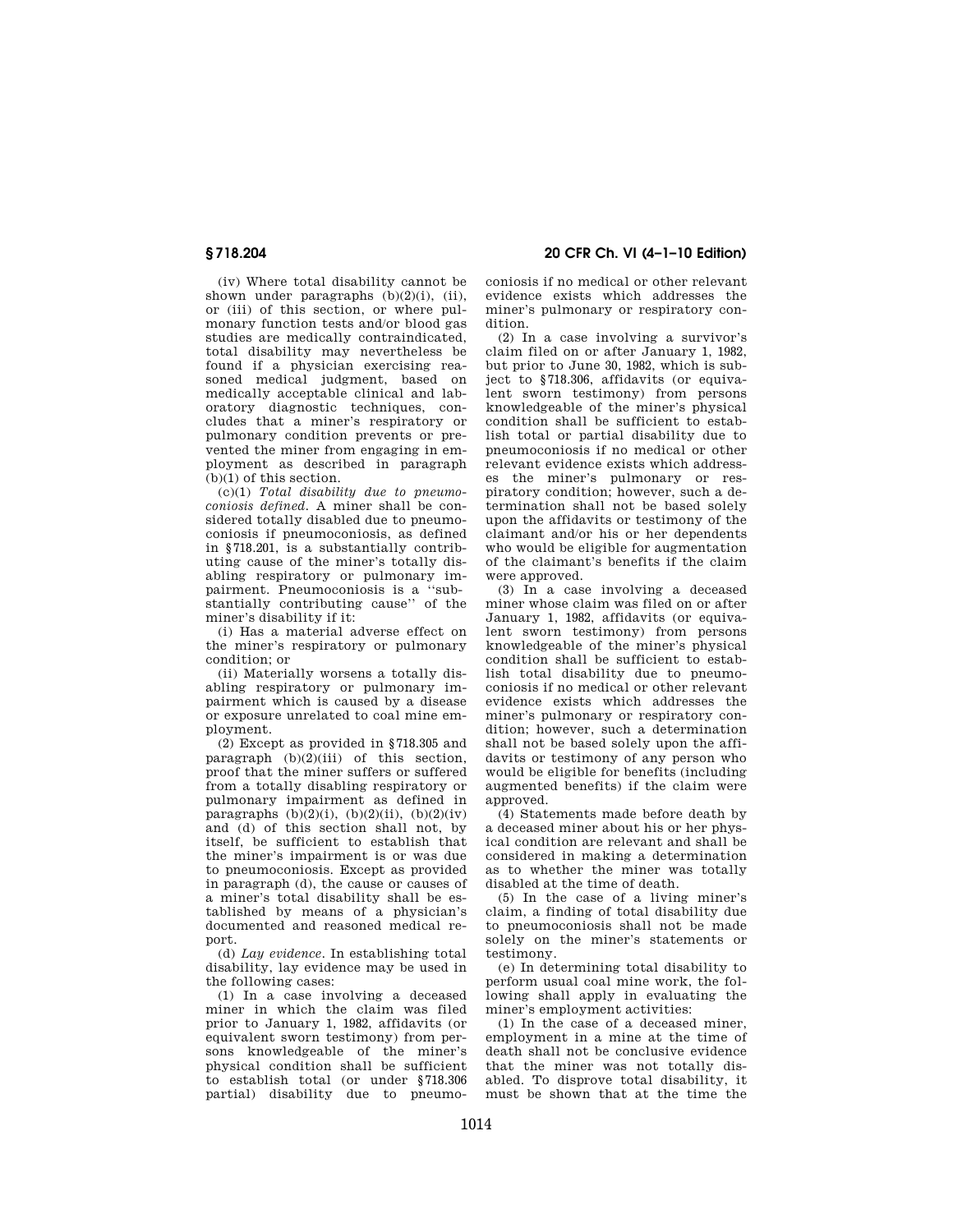(iv) Where total disability cannot be shown under paragraphs  $(b)(2)(i)$ , (ii), or (iii) of this section, or where pulmonary function tests and/or blood gas studies are medically contraindicated, total disability may nevertheless be found if a physician exercising reasoned medical judgment, based on medically acceptable clinical and laboratory diagnostic techniques, concludes that a miner's respiratory or pulmonary condition prevents or prevented the miner from engaging in employment as described in paragraph (b)(1) of this section.

(c)(1) *Total disability due to pneumoconiosis defined.* A miner shall be considered totally disabled due to pneumoconiosis if pneumoconiosis, as defined in §718.201, is a substantially contributing cause of the miner's totally disabling respiratory or pulmonary impairment. Pneumoconiosis is a ''substantially contributing cause'' of the miner's disability if it:

(i) Has a material adverse effect on the miner's respiratory or pulmonary condition; or

(ii) Materially worsens a totally disabling respiratory or pulmonary impairment which is caused by a disease or exposure unrelated to coal mine employment.

(2) Except as provided in §718.305 and paragraph  $(b)(2)(iii)$  of this section, proof that the miner suffers or suffered from a totally disabling respiratory or pulmonary impairment as defined in paragraphs  $(b)(2)(i)$ ,  $(b)(2)(ii)$ ,  $(b)(2)(iv)$ and (d) of this section shall not, by itself, be sufficient to establish that the miner's impairment is or was due to pneumoconiosis. Except as provided in paragraph (d), the cause or causes of a miner's total disability shall be established by means of a physician's documented and reasoned medical report.

(d) *Lay evidence.* In establishing total disability, lay evidence may be used in the following cases:

(1) In a case involving a deceased miner in which the claim was filed prior to January 1, 1982, affidavits (or equivalent sworn testimony) from persons knowledgeable of the miner's physical condition shall be sufficient to establish total (or under §718.306 partial) disability due to pneumo-

**§ 718.204 20 CFR Ch. VI (4–1–10 Edition)** 

coniosis if no medical or other relevant evidence exists which addresses the miner's pulmonary or respiratory condition.

(2) In a case involving a survivor's claim filed on or after January 1, 1982, but prior to June 30, 1982, which is subject to §718.306, affidavits (or equivalent sworn testimony) from persons knowledgeable of the miner's physical condition shall be sufficient to establish total or partial disability due to pneumoconiosis if no medical or other relevant evidence exists which addresses the miner's pulmonary or respiratory condition; however, such a determination shall not be based solely upon the affidavits or testimony of the claimant and/or his or her dependents who would be eligible for augmentation of the claimant's benefits if the claim were approved.

(3) In a case involving a deceased miner whose claim was filed on or after January 1, 1982, affidavits (or equivalent sworn testimony) from persons knowledgeable of the miner's physical condition shall be sufficient to establish total disability due to pneumoconiosis if no medical or other relevant evidence exists which addresses the miner's pulmonary or respiratory condition; however, such a determination shall not be based solely upon the affidavits or testimony of any person who would be eligible for benefits (including augmented benefits) if the claim were approved.

(4) Statements made before death by a deceased miner about his or her physical condition are relevant and shall be considered in making a determination as to whether the miner was totally disabled at the time of death.

(5) In the case of a living miner's claim, a finding of total disability due to pneumoconiosis shall not be made solely on the miner's statements or testimony.

(e) In determining total disability to perform usual coal mine work, the following shall apply in evaluating the miner's employment activities:

(1) In the case of a deceased miner, employment in a mine at the time of death shall not be conclusive evidence that the miner was not totally disabled. To disprove total disability, it must be shown that at the time the